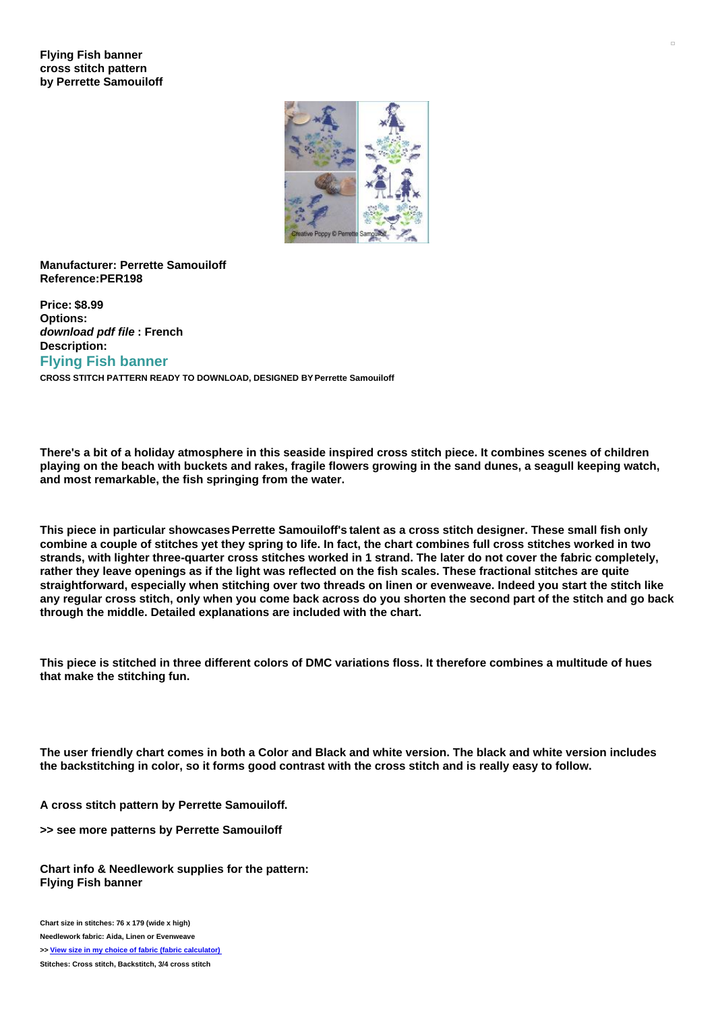## **Flying Fish banner cross stitch pattern by Perrette Samouiloff**



## **Manufacturer: Perrette Samouiloff Reference:PER198**

**Price: \$8.99 Options:** *download pdf file* **: French Description: Flying Fish banner CROSS STITCH PATTERN READY TO DOWNLOAD, DESIGNED BY Perrette Samouiloff**

There's a bit of a holiday atmosphere in this seaside inspired cross stitch piece. It combines scenes of children playing on the beach with buckets and rakes, fragile flowers growing in the sand dunes, a seagull keeping watch, **and most remarkable, the fish springing from the water.**

**This piece in particular showcasesPerrette Samouiloff's talent as a cross stitch designer. These small fish only** combine a couple of stitches yet they spring to life. In fact, the chart combines full cross stitches worked in two strands, with lighter three-quarter cross stitches worked in 1 strand. The later do not cover the fabric completely, rather they leave openings as if the light was reflected on the fish scales. These fractional stitches are quite straightforward, especially when stitching over two threads on linen or evenweave. Indeed you start the stitch like any regular cross stitch, only when you come back across do you shorten the second part of the stitch and go back **through the middle. Detailed explanations are included with the chart.**

This piece is stitched in three different colors of DMC variations floss. It therefore combines a multitude of hues **that make the stitching fun.**

The user friendly chart comes in both a Color and Black and white version. The black and white version includes the backstitching in color, so it forms good contrast with the cross stitch and is really easy to follow.

**A cross stitch pattern by Perrette Samouiloff.**

**>> see more patterns by Perrette Samouiloff**

**Chart info & Needlework supplies for the pattern: Flying Fish banner**

**Chart size in stitches: 76 x 179 (wide x high) Needlework fabric: Aida, Linen or Evenweave**

**>> View size in my choice of fabric (fabric [calculator\)](https://www.creativepoppypatterns.com/calculette-de-toile.php?products_id=2906&w=79&h=179)**

**Stitches: Cross stitch, Backstitch, 3/4 cross stitch**